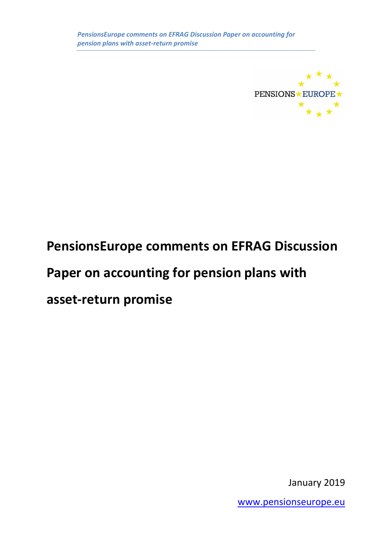

# **PensionsEurope comments on EFRAG Discussion Paper on accounting for pension plans with asset-return promise**

January 2019

[www.pensionseurope.eu](http://www.pensionseurope.eu/)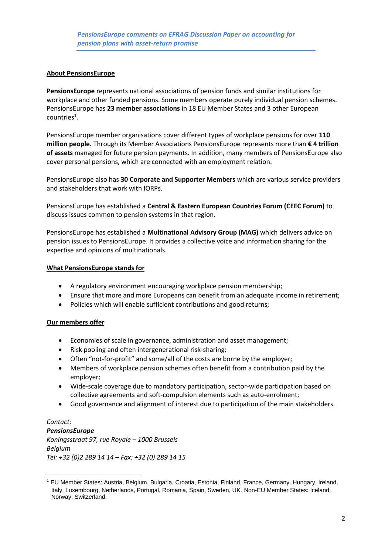#### **About PensionsEurope**

**PensionsEurope** represents national associations of pension funds and similar institutions for workplace and other funded pensions. Some members operate purely individual pension schemes. PensionsEurope has **23 member associations** in 18 EU Member States and 3 other European  $countries<sup>1</sup>$ .

PensionsEurope member organisations cover different types of workplace pensions for over **110 million people.** Through its Member Associations PensionsEurope represents more than **€ 4 trillion of assets** managed for future pension payments. In addition, many members of PensionsEurope also cover personal pensions, which are connected with an employment relation.

PensionsEurope also has **30 Corporate and Supporter Members** which are various service providers and stakeholders that work with IORPs.

PensionsEurope has established a **Central & Eastern European Countries Forum (CEEC Forum)** to discuss issues common to pension systems in that region.

PensionsEurope has established a **Multinational Advisory Group (MAG)** which delivers advice on pension issues to PensionsEurope. It provides a collective voice and information sharing for the expertise and opinions of multinationals.

#### **What PensionsEurope stands for**

- A regulatory environment encouraging workplace pension membership;
- Ensure that more and more Europeans can benefit from an adequate income in retirement;
- Policies which will enable sufficient contributions and good returns;

#### **Our members offer**

**.** 

- Economies of scale in governance, administration and asset management;
- Risk pooling and often intergenerational risk-sharing;
- Often "not-for-profit" and some/all of the costs are borne by the employer;
- Members of workplace pension schemes often benefit from a contribution paid by the employer;
- Wide-scale coverage due to mandatory participation, sector-wide participation based on collective agreements and soft-compulsion elements such as auto-enrolment;
- Good governance and alignment of interest due to participation of the main stakeholders.

#### *Contact: PensionsEurope Koningsstraat 97, rue Royale – 1000 Brussels Belgium Tel: +32 (0)2 289 14 14 – Fax: +32 (0) 289 14 15*

<sup>1</sup> EU Member States: Austria, Belgium, Bulgaria, Croatia, Estonia, Finland, France, Germany, Hungary, Ireland, Italy, Luxembourg, Netherlands, Portugal, Romania, Spain, Sweden, UK. Non-EU Member States: Iceland, Norway, Switzerland.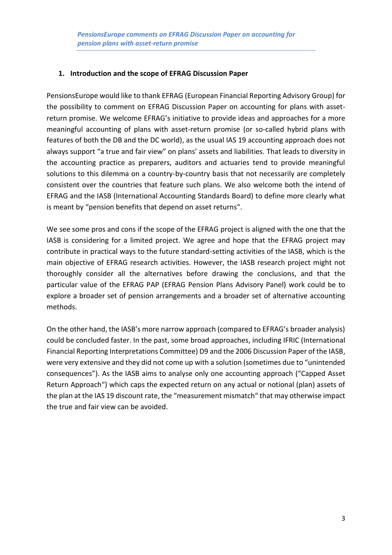### **1. Introduction and the scope of EFRAG Discussion Paper**

PensionsEurope would like to thank EFRAG (European Financial Reporting Advisory Group) for the possibility to comment on EFRAG Discussion Paper on accounting for plans with assetreturn promise. We welcome EFRAG's initiative to provide ideas and approaches for a more meaningful accounting of plans with asset-return promise (or so-called hybrid plans with features of both the DB and the DC world), as the usual IAS 19 accounting approach does not always support "a true and fair view" on plans' assets and liabilities. That leads to diversity in the accounting practice as preparers, auditors and actuaries tend to provide meaningful solutions to this dilemma on a country-by-country basis that not necessarily are completely consistent over the countries that feature such plans. We also welcome both the intend of EFRAG and the IASB (International Accounting Standards Board) to define more clearly what is meant by "pension benefits that depend on asset returns".

We see some pros and cons if the scope of the EFRAG project is aligned with the one that the IASB is considering for a limited project. We agree and hope that the EFRAG project may contribute in practical ways to the future standard-setting activities of the IASB, which is the main objective of EFRAG research activities. However, the IASB research project might not thoroughly consider all the alternatives before drawing the conclusions, and that the particular value of the EFRAG PAP (EFRAG Pension Plans Advisory Panel) work could be to explore a broader set of pension arrangements and a broader set of alternative accounting methods.

On the other hand, the IASB's more narrow approach (compared to EFRAG's broader analysis) could be concluded faster. In the past, some broad approaches, including IFRIC (International Financial Reporting Interpretations Committee) D9 and the 2006 Discussion Paper of the IASB, were very extensive and they did not come up with a solution (sometimes due to "unintended consequences"). As the IASB aims to analyse only one accounting approach ("Capped Asset Return Approach") which caps the expected return on any actual or notional (plan) assets of the plan at the IAS 19 discount rate, the "measurement mismatch" that may otherwise impact the true and fair view can be avoided.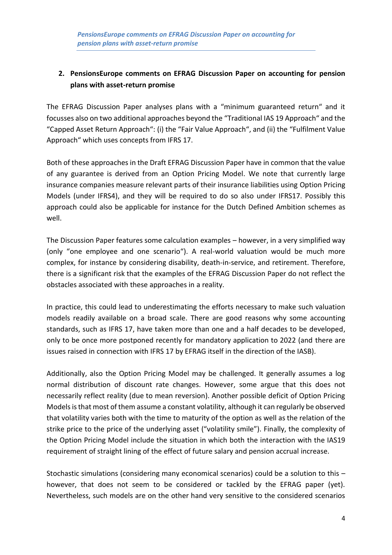## **2. PensionsEurope comments on EFRAG Discussion Paper on accounting for pension plans with asset-return promise**

The EFRAG Discussion Paper analyses plans with a "minimum guaranteed return" and it focusses also on two additional approaches beyond the "Traditional IAS 19 Approach" and the "Capped Asset Return Approach": (i) the "Fair Value Approach", and (ii) the "Fulfilment Value Approach" which uses concepts from IFRS 17.

Both of these approaches in the Draft EFRAG Discussion Paper have in common that the value of any guarantee is derived from an Option Pricing Model. We note that currently large insurance companies measure relevant parts of their insurance liabilities using Option Pricing Models (under IFRS4), and they will be required to do so also under IFRS17. Possibly this approach could also be applicable for instance for the Dutch Defined Ambition schemes as well.

The Discussion Paper features some calculation examples – however, in a very simplified way (only "one employee and one scenario"). A real-world valuation would be much more complex, for instance by considering disability, death-in-service, and retirement. Therefore, there is a significant risk that the examples of the EFRAG Discussion Paper do not reflect the obstacles associated with these approaches in a reality.

In practice, this could lead to underestimating the efforts necessary to make such valuation models readily available on a broad scale. There are good reasons why some accounting standards, such as IFRS 17, have taken more than one and a half decades to be developed, only to be once more postponed recently for mandatory application to 2022 (and there are issues raised in connection with IFRS 17 by EFRAG itself in the direction of the IASB).

Additionally, also the Option Pricing Model may be challenged. It generally assumes a log normal distribution of discount rate changes. However, some argue that this does not necessarily reflect reality (due to mean reversion). Another possible deficit of Option Pricing Models is that most of them assume a constant volatility, although it can regularly be observed that volatility varies both with the time to maturity of the option as well as the relation of the strike price to the price of the underlying asset ("volatility smile"). Finally, the complexity of the Option Pricing Model include the situation in which both the interaction with the IAS19 requirement of straight lining of the effect of future salary and pension accrual increase.

Stochastic simulations (considering many economical scenarios) could be a solution to this – however, that does not seem to be considered or tackled by the EFRAG paper (yet). Nevertheless, such models are on the other hand very sensitive to the considered scenarios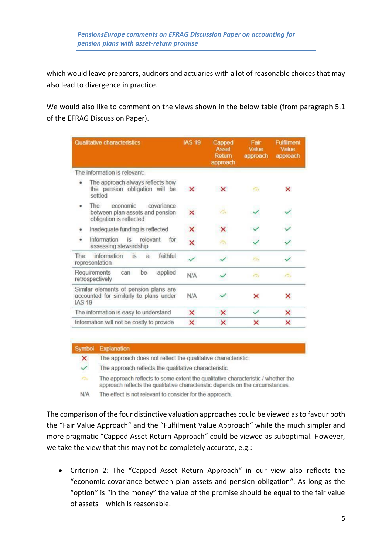which would leave preparers, auditors and actuaries with a lot of reasonable choices that may also lead to divergence in practice.

We would also like to comment on the views shown in the below table (from paragraph 5.1 of the EFRAG Discussion Paper).

| Qualitative characteristics                                                                      | <b>IAS 19</b> | Capped<br>Asset<br>Return<br>approach | Fair<br>Value<br>approach | Fulfilment<br>Value<br>approach |
|--------------------------------------------------------------------------------------------------|---------------|---------------------------------------|---------------------------|---------------------------------|
| The information is relevant:                                                                     |               |                                       |                           |                                 |
| The approach always reflects how<br>the pension obligation will be<br>settled                    | $\mathbf{x}$  | $\mathsf{x}$                          | Fish                      | ×                               |
| The<br>economic<br>covariance<br>۰<br>between plan assets and pension<br>obligation is reflected | ×             | Ωv                                    |                           |                                 |
| Inadequate funding is reflected<br>۰                                                             | ×             | ×                                     |                           |                                 |
| Information<br>relevant<br>۰<br>is.<br>for<br>assessing stewardship                              | ×             | $\sqrt{2}$                            |                           |                                 |
| information<br><b>The</b><br>is<br>faithful<br>a<br>representation                               |               |                                       | <b>Ton</b>                | ✓                               |
| Requirements<br>be<br>applied<br>can<br>retrospectively                                          | <b>N/A</b>    |                                       | $\sigma$                  | $\sigma$                        |
| Similar elements of pension plans are<br>accounted for similarly to plans under<br><b>IAS 19</b> | N/A           |                                       | ×                         | ×                               |
| The information is easy to understand                                                            | ×             | ×                                     | $\checkmark$              | ×                               |
| Information will not be costly to provide                                                        | $\times$      | ×                                     | ×                         | ×                               |

#### Symbol Explanation

 $\overline{\mathsf{x}}$ The approach does not reflect the qualitative characteristic.

The approach reflects the qualitative characteristic.  $\checkmark$ 

The approach reflects to some extent the qualitative characteristic / whether the  $\sigma$ approach reflects the qualitative characteristic depends on the circumstances.

 $N/A$ The effect is not relevant to consider for the approach.

The comparison of the four distinctive valuation approaches could be viewed as to favour both the "Fair Value Approach" and the "Fulfilment Value Approach" while the much simpler and more pragmatic "Capped Asset Return Approach" could be viewed as suboptimal. However, we take the view that this may not be completely accurate, e.g.:

• Criterion 2: The "Capped Asset Return Approach" in our view also reflects the "economic covariance between plan assets and pension obligation". As long as the "option" is "in the money" the value of the promise should be equal to the fair value of assets – which is reasonable.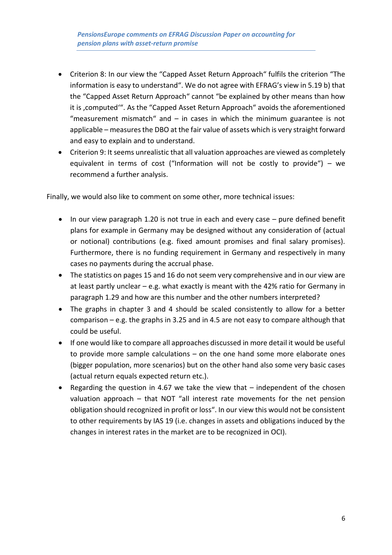- Criterion 8: In our view the "Capped Asset Return Approach" fulfils the criterion "The information is easy to understand". We do not agree with EFRAG's view in 5.19 b) that the "Capped Asset Return Approach" cannot "be explained by other means than how it is , computed". As the "Capped Asset Return Approach" avoids the aforementioned "measurement mismatch" and  $-$  in cases in which the minimum guarantee is not applicable – measures the DBO at the fair value of assets which is very straight forward and easy to explain and to understand.
- Criterion 9: It seems unrealistic that all valuation approaches are viewed as completely equivalent in terms of cost ("Information will not be costly to provide") – we recommend a further analysis.

Finally, we would also like to comment on some other, more technical issues:

- In our view paragraph 1.20 is not true in each and every case pure defined benefit plans for example in Germany may be designed without any consideration of (actual or notional) contributions (e.g. fixed amount promises and final salary promises). Furthermore, there is no funding requirement in Germany and respectively in many cases no payments during the accrual phase.
- The statistics on pages 15 and 16 do not seem very comprehensive and in our view are at least partly unclear  $-$  e.g. what exactly is meant with the 42% ratio for Germany in paragraph 1.29 and how are this number and the other numbers interpreted?
- The graphs in chapter 3 and 4 should be scaled consistently to allow for a better comparison – e.g. the graphs in 3.25 and in 4.5 are not easy to compare although that could be useful.
- If one would like to compare all approaches discussed in more detail it would be useful to provide more sample calculations – on the one hand some more elaborate ones (bigger population, more scenarios) but on the other hand also some very basic cases (actual return equals expected return etc.).
- Regarding the question in 4.67 we take the view that independent of the chosen valuation approach – that NOT "all interest rate movements for the net pension obligation should recognized in profit or loss". In our view this would not be consistent to other requirements by IAS 19 (i.e. changes in assets and obligations induced by the changes in interest rates in the market are to be recognized in OCI).